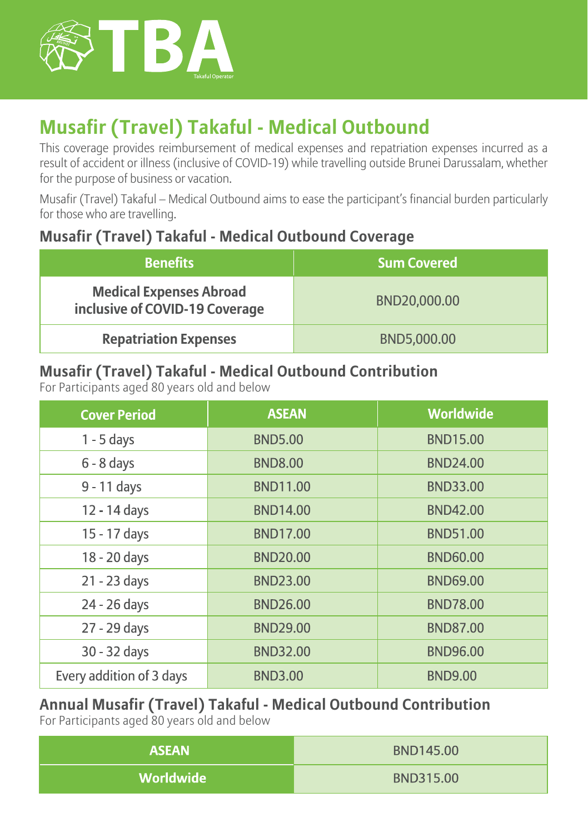

# **Musafir (Travel) Takaful - Medical Outbound**

This coverage provides reimbursement of medical expenses and repatriation expenses incurred as a result of accident or illness (inclusive of COVID-19) while travelling outside Brunei Darussalam, whether for the purpose of business or vacation.

Musafir (Travel) Takaful – Medical Outbound aims to ease the participant's financial burden particularly for those who are travelling.

#### **Musafir (Travel) Takaful - Medical Outbound Coverage**

| <b>Benefits</b>                                                  | <b>Sum Covered</b> |
|------------------------------------------------------------------|--------------------|
| <b>Medical Expenses Abroad</b><br>inclusive of COVID-19 Coverage | BND20,000.00       |
| <b>Repatriation Expenses</b>                                     | BND5,000.00        |

#### **Musafir (Travel) Takaful - Medical Outbound Contribution**

For Participants aged 80 years old and below

| <b>Cover Period</b>      | <b>ASEAN</b>    | Worldwide       |
|--------------------------|-----------------|-----------------|
| $1 - 5$ days             | <b>BND5.00</b>  | <b>BND15.00</b> |
| $6 - 8$ days             | <b>BND8.00</b>  | <b>BND24.00</b> |
| 9 - 11 days              | <b>BND11.00</b> | <b>BND33.00</b> |
| 12 - 14 days             | <b>BND14.00</b> | <b>BND42.00</b> |
| 15 - 17 days             | <b>BND17.00</b> | <b>BND51.00</b> |
| 18 - 20 days             | <b>BND20.00</b> | <b>BND60.00</b> |
| 21 - 23 days             | <b>BND23.00</b> | <b>BND69.00</b> |
| 24 - 26 days             | <b>BND26.00</b> | <b>BND78.00</b> |
| 27 - 29 days             | <b>BND29.00</b> | <b>BND87.00</b> |
| 30 - 32 days             | <b>BND32.00</b> | <b>BND96.00</b> |
| Every addition of 3 days | <b>BND3.00</b>  | <b>BND9.00</b>  |

### **Annual Musafir (Travel) Takaful - Medical Outbound Contribution**

For Participants aged 80 years old and below

| <b>ASEAN</b> | BND145.00 |
|--------------|-----------|
| Worldwide    | BND315.00 |